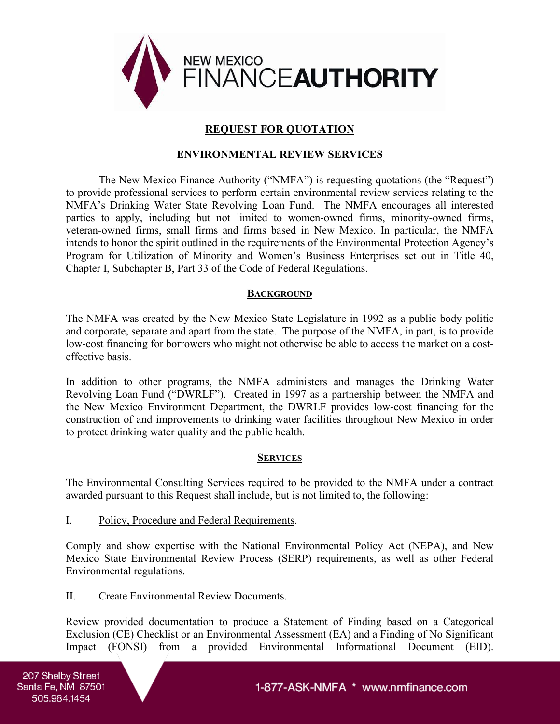

## **REQUEST FOR QUOTATION**

#### **ENVIRONMENTAL REVIEW SERVICES**

The New Mexico Finance Authority ("NMFA") is requesting quotations (the "Request") to provide professional services to perform certain environmental review services relating to the NMFA's Drinking Water State Revolving Loan Fund. The NMFA encourages all interested parties to apply, including but not limited to women-owned firms, minority-owned firms, veteran-owned firms, small firms and firms based in New Mexico. In particular, the NMFA intends to honor the spirit outlined in the requirements of the Environmental Protection Agency's Program for Utilization of Minority and Women's Business Enterprises set out in Title 40, Chapter I, Subchapter B, Part 33 of the Code of Federal Regulations.

#### **BACKGROUND**

The NMFA was created by the New Mexico State Legislature in 1992 as a public body politic and corporate, separate and apart from the state. The purpose of the NMFA, in part, is to provide low-cost financing for borrowers who might not otherwise be able to access the market on a costeffective basis.

In addition to other programs, the NMFA administers and manages the Drinking Water Revolving Loan Fund ("DWRLF"). Created in 1997 as a partnership between the NMFA and the New Mexico Environment Department, the DWRLF provides low-cost financing for the construction of and improvements to drinking water facilities throughout New Mexico in order to protect drinking water quality and the public health.

#### **SERVICES**

The Environmental Consulting Services required to be provided to the NMFA under a contract awarded pursuant to this Request shall include, but is not limited to, the following:

I. Policy, Procedure and Federal Requirements.

Comply and show expertise with the National Environmental Policy Act (NEPA), and New Mexico State Environmental Review Process (SERP) requirements, as well as other Federal Environmental regulations.

II. Create Environmental Review Documents.

Review provided documentation to produce a Statement of Finding based on a Categorical Exclusion (CE) Checklist or an Environmental Assessment (EA) and a Finding of No Significant Impact (FONSI) from a provided Environmental Informational Document (EID).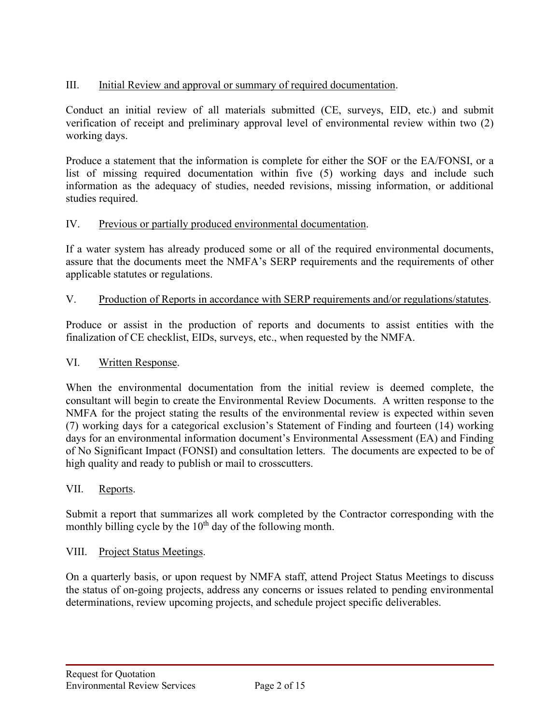# III. Initial Review and approval or summary of required documentation.

Conduct an initial review of all materials submitted (CE, surveys, EID, etc.) and submit verification of receipt and preliminary approval level of environmental review within two (2) working days.

Produce a statement that the information is complete for either the SOF or the EA/FONSI, or a list of missing required documentation within five (5) working days and include such information as the adequacy of studies, needed revisions, missing information, or additional studies required.

### IV. Previous or partially produced environmental documentation.

If a water system has already produced some or all of the required environmental documents, assure that the documents meet the NMFA's SERP requirements and the requirements of other applicable statutes or regulations.

### V. Production of Reports in accordance with SERP requirements and/or regulations/statutes.

Produce or assist in the production of reports and documents to assist entities with the finalization of CE checklist, EIDs, surveys, etc., when requested by the NMFA.

#### VI. Written Response.

When the environmental documentation from the initial review is deemed complete, the consultant will begin to create the Environmental Review Documents. A written response to the NMFA for the project stating the results of the environmental review is expected within seven (7) working days for a categorical exclusion's Statement of Finding and fourteen (14) working days for an environmental information document's Environmental Assessment (EA) and Finding of No Significant Impact (FONSI) and consultation letters. The documents are expected to be of high quality and ready to publish or mail to crosscutters.

### VII. Reports.

Submit a report that summarizes all work completed by the Contractor corresponding with the monthly billing cycle by the  $10<sup>th</sup>$  day of the following month.

#### VIII. Project Status Meetings.

On a quarterly basis, or upon request by NMFA staff, attend Project Status Meetings to discuss the status of on-going projects, address any concerns or issues related to pending environmental determinations, review upcoming projects, and schedule project specific deliverables.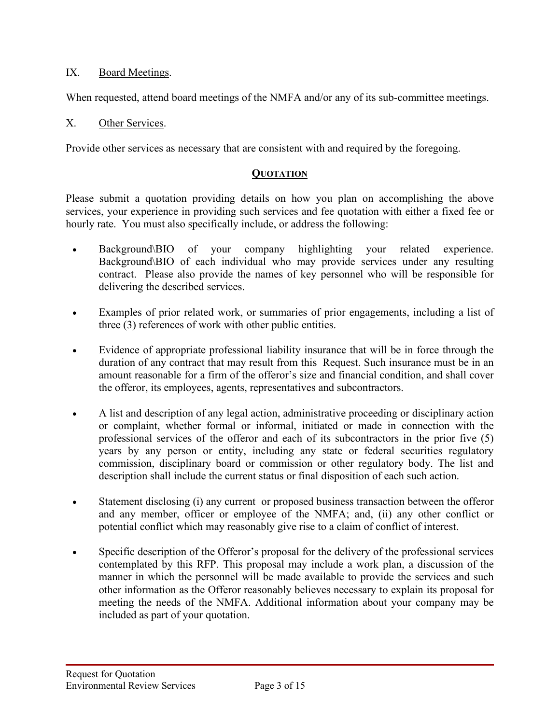## IX. Board Meetings.

When requested, attend board meetings of the NMFA and/or any of its sub-committee meetings.

#### X. Other Services.

Provide other services as necessary that are consistent with and required by the foregoing.

### **QUOTATION**

Please submit a quotation providing details on how you plan on accomplishing the above services, your experience in providing such services and fee quotation with either a fixed fee or hourly rate. You must also specifically include, or address the following:

- Background\BIO of your company highlighting your related experience. Background\BIO of each individual who may provide services under any resulting contract. Please also provide the names of key personnel who will be responsible for delivering the described services.
- Examples of prior related work, or summaries of prior engagements, including a list of three (3) references of work with other public entities.
- Evidence of appropriate professional liability insurance that will be in force through the duration of any contract that may result from this Request. Such insurance must be in an amount reasonable for a firm of the offeror's size and financial condition, and shall cover the offeror, its employees, agents, representatives and subcontractors.
- A list and description of any legal action, administrative proceeding or disciplinary action or complaint, whether formal or informal, initiated or made in connection with the professional services of the offeror and each of its subcontractors in the prior five (5) years by any person or entity, including any state or federal securities regulatory commission, disciplinary board or commission or other regulatory body. The list and description shall include the current status or final disposition of each such action.
- Statement disclosing (i) any current or proposed business transaction between the offeror and any member, officer or employee of the NMFA; and, (ii) any other conflict or potential conflict which may reasonably give rise to a claim of conflict of interest.
- Specific description of the Offeror's proposal for the delivery of the professional services contemplated by this RFP. This proposal may include a work plan, a discussion of the manner in which the personnel will be made available to provide the services and such other information as the Offeror reasonably believes necessary to explain its proposal for meeting the needs of the NMFA. Additional information about your company may be included as part of your quotation.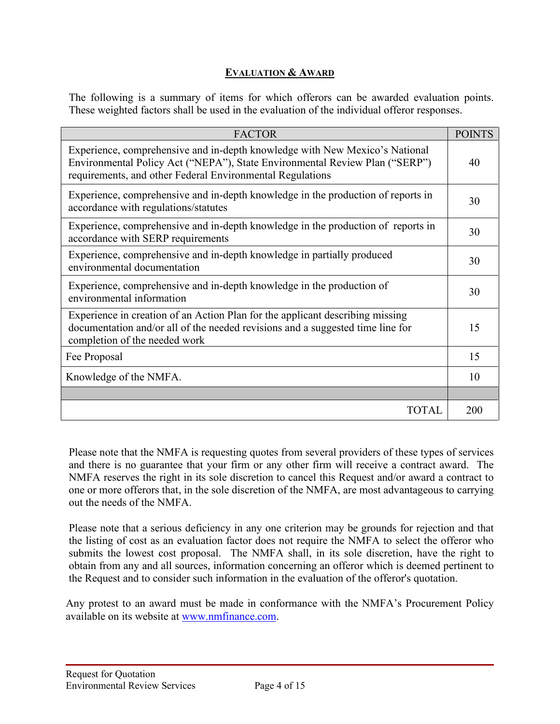# **EVALUATION & AWARD**

The following is a summary of items for which offerors can be awarded evaluation points. These weighted factors shall be used in the evaluation of the individual offeror responses.

| <b>FACTOR</b>                                                                                                                                                                                                           | <b>POINTS</b> |  |
|-------------------------------------------------------------------------------------------------------------------------------------------------------------------------------------------------------------------------|---------------|--|
| Experience, comprehensive and in-depth knowledge with New Mexico's National<br>Environmental Policy Act ("NEPA"), State Environmental Review Plan ("SERP")<br>requirements, and other Federal Environmental Regulations | 40            |  |
| Experience, comprehensive and in-depth knowledge in the production of reports in<br>accordance with regulations/statutes                                                                                                |               |  |
| Experience, comprehensive and in-depth knowledge in the production of reports in<br>accordance with SERP requirements                                                                                                   |               |  |
| Experience, comprehensive and in-depth knowledge in partially produced<br>environmental documentation                                                                                                                   |               |  |
| Experience, comprehensive and in-depth knowledge in the production of<br>environmental information                                                                                                                      |               |  |
| Experience in creation of an Action Plan for the applicant describing missing<br>documentation and/or all of the needed revisions and a suggested time line for<br>completion of the needed work                        |               |  |
| Fee Proposal                                                                                                                                                                                                            | 15            |  |
| Knowledge of the NMFA.                                                                                                                                                                                                  |               |  |
|                                                                                                                                                                                                                         |               |  |
| TOTAL                                                                                                                                                                                                                   | 200           |  |

Please note that the NMFA is requesting quotes from several providers of these types of services and there is no guarantee that your firm or any other firm will receive a contract award. The NMFA reserves the right in its sole discretion to cancel this Request and/or award a contract to one or more offerors that, in the sole discretion of the NMFA, are most advantageous to carrying out the needs of the NMFA.

Please note that a serious deficiency in any one criterion may be grounds for rejection and that the listing of cost as an evaluation factor does not require the NMFA to select the offeror who submits the lowest cost proposal. The NMFA shall, in its sole discretion, have the right to obtain from any and all sources, information concerning an offeror which is deemed pertinent to the Request and to consider such information in the evaluation of the offeror's quotation.

Any protest to an award must be made in conformance with the NMFA's Procurement Policy available on its website at [www.nmfinance.com.](http://www.nmfinance.com/)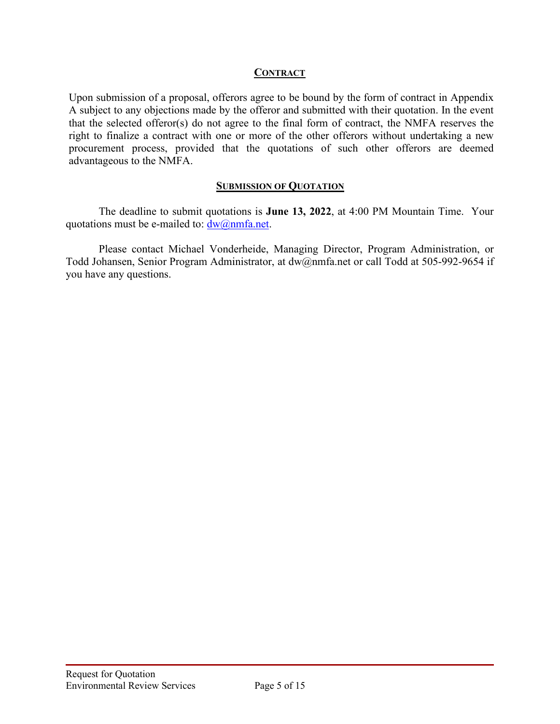#### **CONTRACT**

Upon submission of a proposal, offerors agree to be bound by the form of contract in Appendix A subject to any objections made by the offeror and submitted with their quotation. In the event that the selected offeror(s) do not agree to the final form of contract, the NMFA reserves the right to finalize a contract with one or more of the other offerors without undertaking a new procurement process, provided that the quotations of such other offerors are deemed advantageous to the NMFA.

### **SUBMISSION OF QUOTATION**

The deadline to submit quotations is **June 13, 2022**, at 4:00 PM Mountain Time. Your quotations must be e-mailed to:  $\frac{dw}{a}$  mmfa.net.

Please contact Michael Vonderheide, Managing Director, Program Administration, or Todd Johansen, Senior Program Administrator, at dw@nmfa.net or call Todd at 505-992-9654 if you have any questions.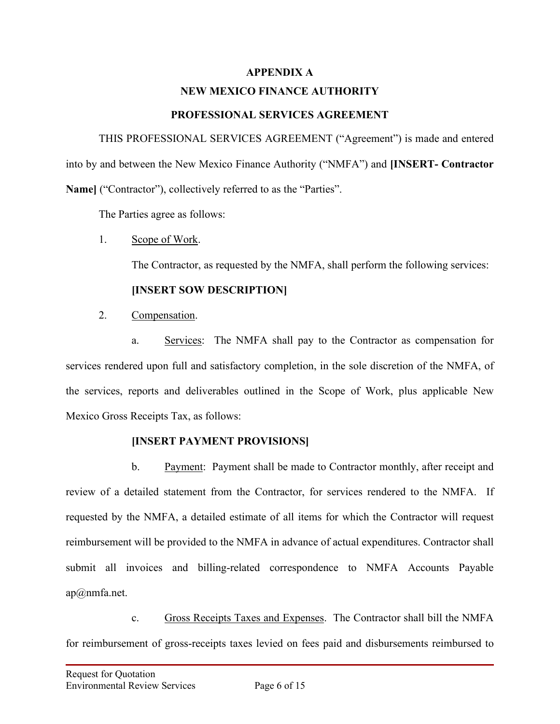#### **APPENDIX A**

# **NEW MEXICO FINANCE AUTHORITY**

## **PROFESSIONAL SERVICES AGREEMENT**

THIS PROFESSIONAL SERVICES AGREEMENT ("Agreement") is made and entered into by and between the New Mexico Finance Authority ("NMFA") and **[INSERT- Contractor Name]** ("Contractor"), collectively referred to as the "Parties".

The Parties agree as follows:

1. Scope of Work.

The Contractor, as requested by the NMFA, shall perform the following services:

## **[INSERT SOW DESCRIPTION]**

2. Compensation.

a. Services: The NMFA shall pay to the Contractor as compensation for services rendered upon full and satisfactory completion, in the sole discretion of the NMFA, of the services, reports and deliverables outlined in the Scope of Work, plus applicable New Mexico Gross Receipts Tax, as follows:

## **[INSERT PAYMENT PROVISIONS]**

b. Payment: Payment shall be made to Contractor monthly, after receipt and review of a detailed statement from the Contractor, for services rendered to the NMFA. If requested by the NMFA, a detailed estimate of all items for which the Contractor will request reimbursement will be provided to the NMFA in advance of actual expenditures. Contractor shall submit all invoices and billing-related correspondence to NMFA Accounts Payable ap@nmfa.net.

c. Gross Receipts Taxes and Expenses. The Contractor shall bill the NMFA for reimbursement of gross-receipts taxes levied on fees paid and disbursements reimbursed to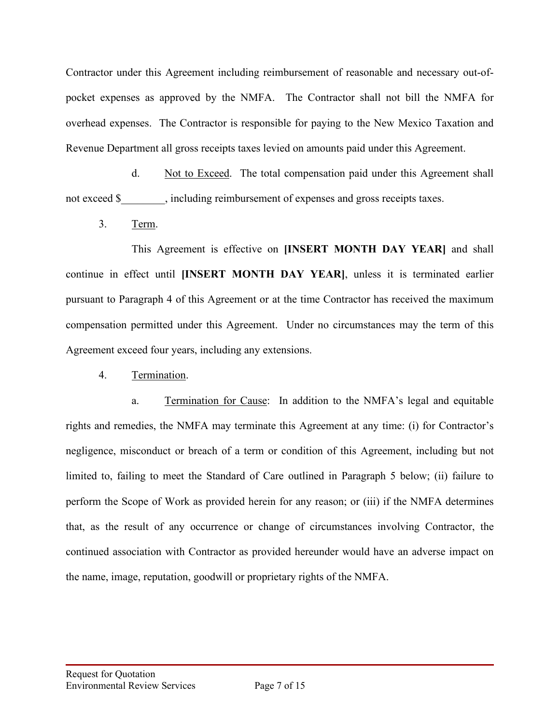Contractor under this Agreement including reimbursement of reasonable and necessary out-ofpocket expenses as approved by the NMFA. The Contractor shall not bill the NMFA for overhead expenses. The Contractor is responsible for paying to the New Mexico Taxation and Revenue Department all gross receipts taxes levied on amounts paid under this Agreement.

d. Not to Exceed. The total compensation paid under this Agreement shall not exceed \$ hirelevel including reimbursement of expenses and gross receipts taxes.

3. Term.

This Agreement is effective on **[INSERT MONTH DAY YEAR]** and shall continue in effect until **[INSERT MONTH DAY YEAR]**, unless it is terminated earlier pursuant to Paragraph 4 of this Agreement or at the time Contractor has received the maximum compensation permitted under this Agreement. Under no circumstances may the term of this Agreement exceed four years, including any extensions.

4. Termination.

a. Termination for Cause: In addition to the NMFA's legal and equitable rights and remedies, the NMFA may terminate this Agreement at any time: (i) for Contractor's negligence, misconduct or breach of a term or condition of this Agreement, including but not limited to, failing to meet the Standard of Care outlined in Paragraph 5 below; (ii) failure to perform the Scope of Work as provided herein for any reason; or (iii) if the NMFA determines that, as the result of any occurrence or change of circumstances involving Contractor, the continued association with Contractor as provided hereunder would have an adverse impact on the name, image, reputation, goodwill or proprietary rights of the NMFA.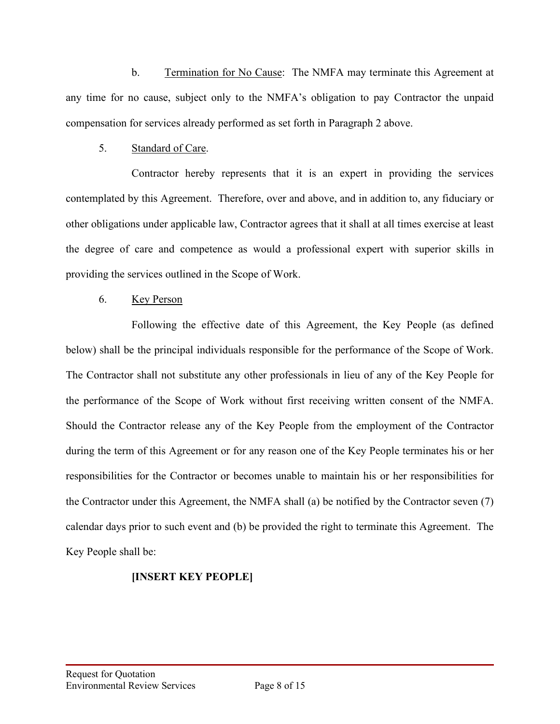b. Termination for No Cause: The NMFA may terminate this Agreement at any time for no cause, subject only to the NMFA's obligation to pay Contractor the unpaid compensation for services already performed as set forth in Paragraph 2 above.

## 5. Standard of Care.

Contractor hereby represents that it is an expert in providing the services contemplated by this Agreement. Therefore, over and above, and in addition to, any fiduciary or other obligations under applicable law, Contractor agrees that it shall at all times exercise at least the degree of care and competence as would a professional expert with superior skills in providing the services outlined in the Scope of Work.

### 6. Key Person

Following the effective date of this Agreement, the Key People (as defined below) shall be the principal individuals responsible for the performance of the Scope of Work. The Contractor shall not substitute any other professionals in lieu of any of the Key People for the performance of the Scope of Work without first receiving written consent of the NMFA. Should the Contractor release any of the Key People from the employment of the Contractor during the term of this Agreement or for any reason one of the Key People terminates his or her responsibilities for the Contractor or becomes unable to maintain his or her responsibilities for the Contractor under this Agreement, the NMFA shall (a) be notified by the Contractor seven (7) calendar days prior to such event and (b) be provided the right to terminate this Agreement. The Key People shall be:

# **[INSERT KEY PEOPLE]**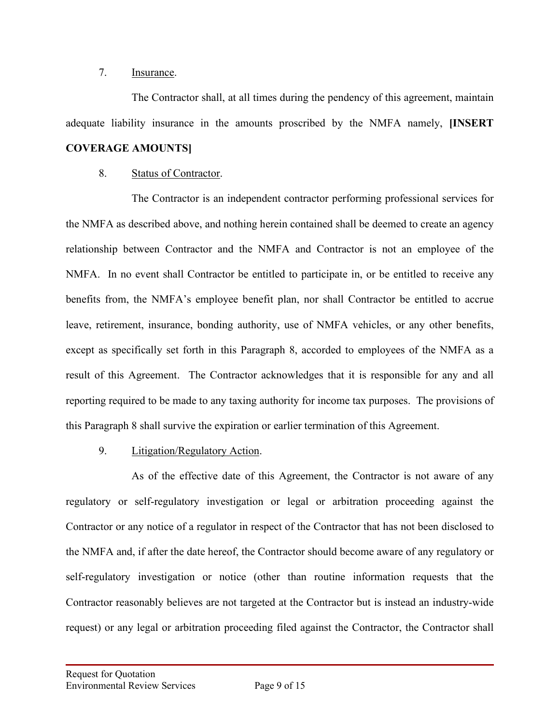## 7. Insurance.

The Contractor shall, at all times during the pendency of this agreement, maintain adequate liability insurance in the amounts proscribed by the NMFA namely, **[INSERT COVERAGE AMOUNTS]**

# 8. Status of Contractor.

The Contractor is an independent contractor performing professional services for the NMFA as described above, and nothing herein contained shall be deemed to create an agency relationship between Contractor and the NMFA and Contractor is not an employee of the NMFA. In no event shall Contractor be entitled to participate in, or be entitled to receive any benefits from, the NMFA's employee benefit plan, nor shall Contractor be entitled to accrue leave, retirement, insurance, bonding authority, use of NMFA vehicles, or any other benefits, except as specifically set forth in this Paragraph 8, accorded to employees of the NMFA as a result of this Agreement. The Contractor acknowledges that it is responsible for any and all reporting required to be made to any taxing authority for income tax purposes. The provisions of this Paragraph 8 shall survive the expiration or earlier termination of this Agreement.

## 9. Litigation/Regulatory Action.

As of the effective date of this Agreement, the Contractor is not aware of any regulatory or self-regulatory investigation or legal or arbitration proceeding against the Contractor or any notice of a regulator in respect of the Contractor that has not been disclosed to the NMFA and, if after the date hereof, the Contractor should become aware of any regulatory or self-regulatory investigation or notice (other than routine information requests that the Contractor reasonably believes are not targeted at the Contractor but is instead an industry-wide request) or any legal or arbitration proceeding filed against the Contractor, the Contractor shall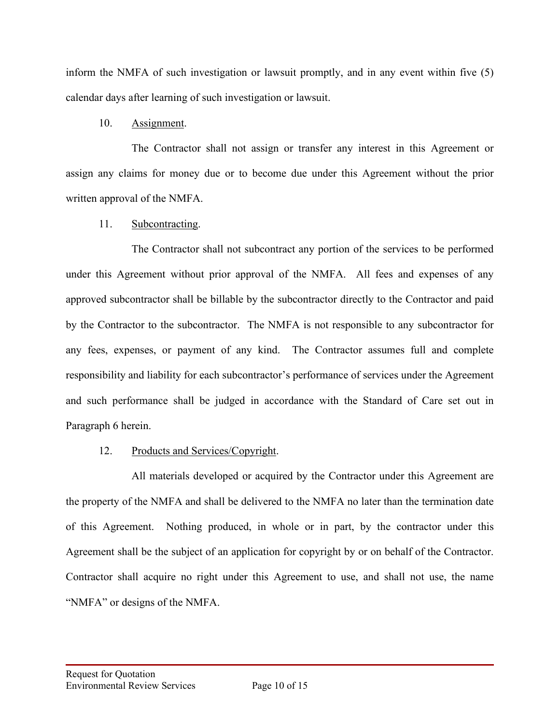inform the NMFA of such investigation or lawsuit promptly, and in any event within five (5) calendar days after learning of such investigation or lawsuit.

## 10. Assignment.

The Contractor shall not assign or transfer any interest in this Agreement or assign any claims for money due or to become due under this Agreement without the prior written approval of the NMFA.

## 11. Subcontracting.

The Contractor shall not subcontract any portion of the services to be performed under this Agreement without prior approval of the NMFA. All fees and expenses of any approved subcontractor shall be billable by the subcontractor directly to the Contractor and paid by the Contractor to the subcontractor. The NMFA is not responsible to any subcontractor for any fees, expenses, or payment of any kind. The Contractor assumes full and complete responsibility and liability for each subcontractor's performance of services under the Agreement and such performance shall be judged in accordance with the Standard of Care set out in Paragraph 6 herein.

## 12. Products and Services/Copyright.

All materials developed or acquired by the Contractor under this Agreement are the property of the NMFA and shall be delivered to the NMFA no later than the termination date of this Agreement. Nothing produced, in whole or in part, by the contractor under this Agreement shall be the subject of an application for copyright by or on behalf of the Contractor. Contractor shall acquire no right under this Agreement to use, and shall not use, the name "NMFA" or designs of the NMFA.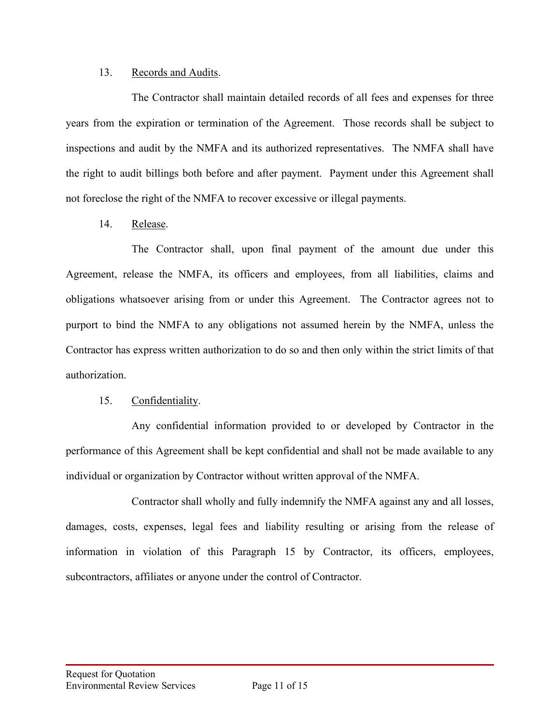#### 13. Records and Audits.

The Contractor shall maintain detailed records of all fees and expenses for three years from the expiration or termination of the Agreement. Those records shall be subject to inspections and audit by the NMFA and its authorized representatives. The NMFA shall have the right to audit billings both before and after payment. Payment under this Agreement shall not foreclose the right of the NMFA to recover excessive or illegal payments.

14. Release.

The Contractor shall, upon final payment of the amount due under this Agreement, release the NMFA, its officers and employees, from all liabilities, claims and obligations whatsoever arising from or under this Agreement. The Contractor agrees not to purport to bind the NMFA to any obligations not assumed herein by the NMFA, unless the Contractor has express written authorization to do so and then only within the strict limits of that authorization.

## 15. Confidentiality.

Any confidential information provided to or developed by Contractor in the performance of this Agreement shall be kept confidential and shall not be made available to any individual or organization by Contractor without written approval of the NMFA.

Contractor shall wholly and fully indemnify the NMFA against any and all losses, damages, costs, expenses, legal fees and liability resulting or arising from the release of information in violation of this Paragraph 15 by Contractor, its officers, employees, subcontractors, affiliates or anyone under the control of Contractor.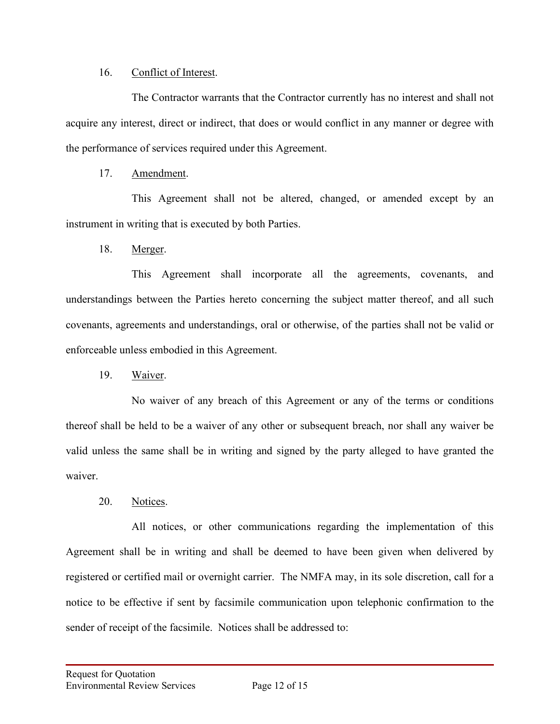### 16. Conflict of Interest.

The Contractor warrants that the Contractor currently has no interest and shall not acquire any interest, direct or indirect, that does or would conflict in any manner or degree with the performance of services required under this Agreement.

## 17. Amendment.

This Agreement shall not be altered, changed, or amended except by an instrument in writing that is executed by both Parties.

18. Merger.

This Agreement shall incorporate all the agreements, covenants, and understandings between the Parties hereto concerning the subject matter thereof, and all such covenants, agreements and understandings, oral or otherwise, of the parties shall not be valid or enforceable unless embodied in this Agreement.

19. Waiver.

No waiver of any breach of this Agreement or any of the terms or conditions thereof shall be held to be a waiver of any other or subsequent breach, nor shall any waiver be valid unless the same shall be in writing and signed by the party alleged to have granted the waiver.

# 20. Notices.

All notices, or other communications regarding the implementation of this Agreement shall be in writing and shall be deemed to have been given when delivered by registered or certified mail or overnight carrier. The NMFA may, in its sole discretion, call for a notice to be effective if sent by facsimile communication upon telephonic confirmation to the sender of receipt of the facsimile. Notices shall be addressed to: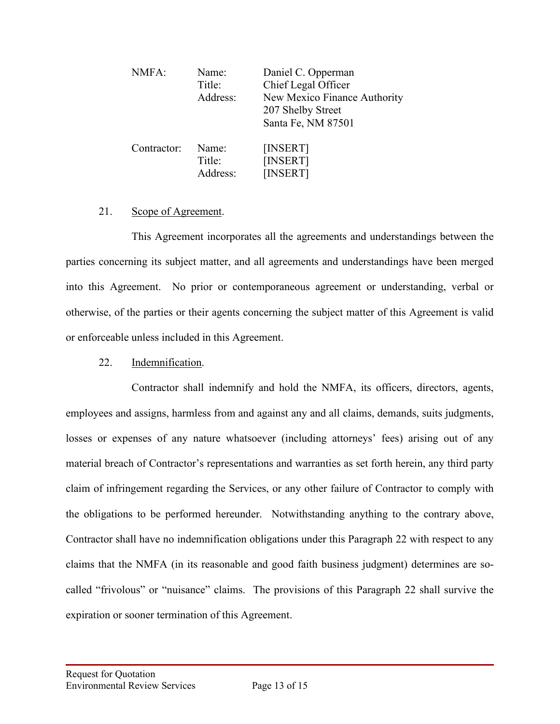| NMFA:       | Name:<br>Title:<br>Address: | Daniel C. Opperman<br>Chief Legal Officer<br>New Mexico Finance Authority<br>207 Shelby Street<br>Santa Fe, NM 87501 |
|-------------|-----------------------------|----------------------------------------------------------------------------------------------------------------------|
| Contractor: | Name:<br>Title:<br>Address: | [INSERT]<br>[INSERT]<br>[INSERT]                                                                                     |

#### 21. Scope of Agreement.

This Agreement incorporates all the agreements and understandings between the parties concerning its subject matter, and all agreements and understandings have been merged into this Agreement. No prior or contemporaneous agreement or understanding, verbal or otherwise, of the parties or their agents concerning the subject matter of this Agreement is valid or enforceable unless included in this Agreement.

#### 22. Indemnification.

Contractor shall indemnify and hold the NMFA, its officers, directors, agents, employees and assigns, harmless from and against any and all claims, demands, suits judgments, losses or expenses of any nature whatsoever (including attorneys' fees) arising out of any material breach of Contractor's representations and warranties as set forth herein, any third party claim of infringement regarding the Services, or any other failure of Contractor to comply with the obligations to be performed hereunder. Notwithstanding anything to the contrary above, Contractor shall have no indemnification obligations under this Paragraph 22 with respect to any claims that the NMFA (in its reasonable and good faith business judgment) determines are socalled "frivolous" or "nuisance" claims. The provisions of this Paragraph 22 shall survive the expiration or sooner termination of this Agreement.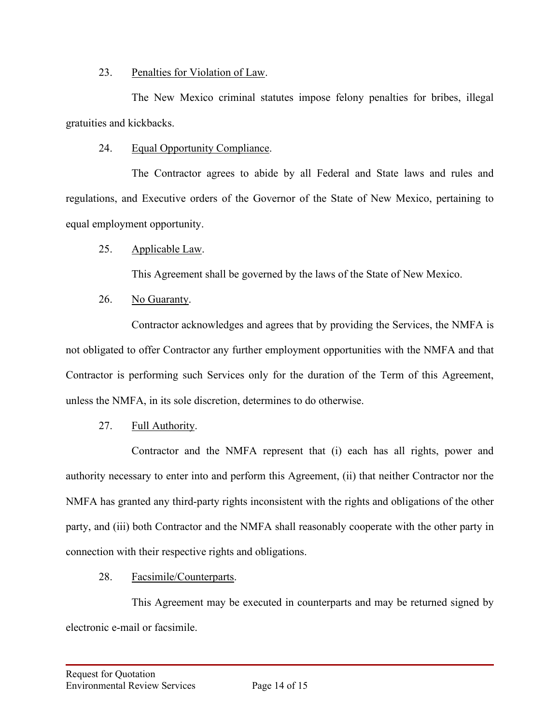## 23. Penalties for Violation of Law.

The New Mexico criminal statutes impose felony penalties for bribes, illegal gratuities and kickbacks.

# 24. Equal Opportunity Compliance.

The Contractor agrees to abide by all Federal and State laws and rules and regulations, and Executive orders of the Governor of the State of New Mexico, pertaining to equal employment opportunity.

# 25. Applicable Law.

This Agreement shall be governed by the laws of the State of New Mexico.

# 26. No Guaranty.

Contractor acknowledges and agrees that by providing the Services, the NMFA is not obligated to offer Contractor any further employment opportunities with the NMFA and that Contractor is performing such Services only for the duration of the Term of this Agreement, unless the NMFA, in its sole discretion, determines to do otherwise.

# 27. Full Authority.

Contractor and the NMFA represent that (i) each has all rights, power and authority necessary to enter into and perform this Agreement, (ii) that neither Contractor nor the NMFA has granted any third-party rights inconsistent with the rights and obligations of the other party, and (iii) both Contractor and the NMFA shall reasonably cooperate with the other party in connection with their respective rights and obligations.

## 28. Facsimile/Counterparts.

This Agreement may be executed in counterparts and may be returned signed by electronic e-mail or facsimile.